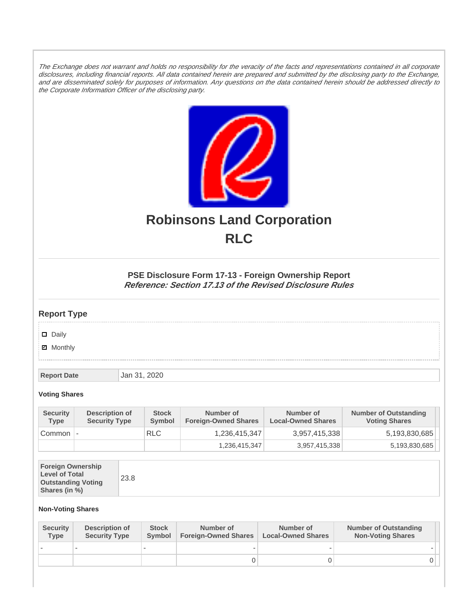The Exchange does not warrant and holds no responsibility for the veracity of the facts and representations contained in all corporate disclosures, including financial reports. All data contained herein are prepared and submitted by the disclosing party to the Exchange, and are disseminated solely for purposes of information. Any questions on the data contained herein should be addressed directly to the Corporate Information Officer of the disclosing party.



# **Robinsons Land Corporation RLC**

## **PSE Disclosure Form 17-13 - Foreign Ownership Report Reference: Section 17.13 of the Revised Disclosure Rules**

## **Report Type**

Daily

**Ø** Monthly

**Report Date Jan 31, 2020** 

#### **Voting Shares**

| <b>Security</b><br>Type | Description of<br><b>Security Type</b> | <b>Stock</b><br><b>Symbol</b> | Number of<br><b>Foreign-Owned Shares</b> | Number of<br><b>Local-Owned Shares</b> | <b>Number of Outstanding</b><br><b>Voting Shares</b> |
|-------------------------|----------------------------------------|-------------------------------|------------------------------------------|----------------------------------------|------------------------------------------------------|
| Common                  | $\overline{a}$                         | <b>RLC</b>                    | 1,236,415,347                            | 3,957,415,338                          | 5,193,830,685                                        |
|                         |                                        |                               | 1.236.415.347                            | 3,957,415,338                          | 5,193,830,685                                        |

| <b>Foreign Ownership</b><br><b>Level of Total</b><br><b>Outstanding Voting</b><br>Shares (in %) |
|-------------------------------------------------------------------------------------------------|
|-------------------------------------------------------------------------------------------------|

### **Non-Voting Shares**

| <b>Security</b><br>Type | Description of<br><b>Security Type</b> | <b>Stock</b><br>Symbol | Number of<br><b>Foreign-Owned Shares</b> | Number of<br><b>Local-Owned Shares</b> | <b>Number of Outstanding</b><br><b>Non-Voting Shares</b> |
|-------------------------|----------------------------------------|------------------------|------------------------------------------|----------------------------------------|----------------------------------------------------------|
|                         |                                        |                        |                                          |                                        |                                                          |
|                         |                                        |                        |                                          |                                        |                                                          |